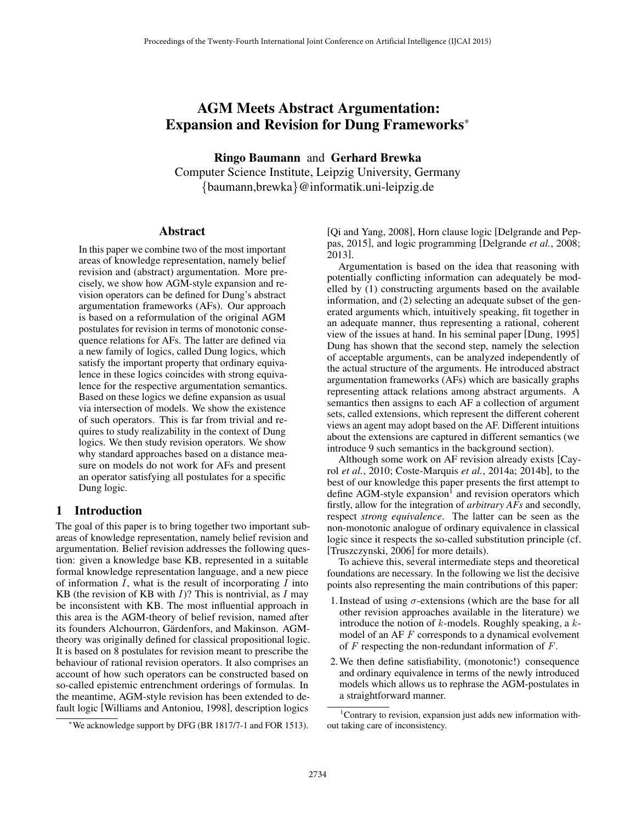# AGM Meets Abstract Argumentation: Expansion and Revision for Dung Frameworks<sup>∗</sup>

Ringo Baumann and Gerhard Brewka

Computer Science Institute, Leipzig University, Germany {baumann,brewka}@informatik.uni-leipzig.de

# Abstract

In this paper we combine two of the most important areas of knowledge representation, namely belief revision and (abstract) argumentation. More precisely, we show how AGM-style expansion and revision operators can be defined for Dung's abstract argumentation frameworks (AFs). Our approach is based on a reformulation of the original AGM postulates for revision in terms of monotonic consequence relations for AFs. The latter are defined via a new family of logics, called Dung logics, which satisfy the important property that ordinary equivalence in these logics coincides with strong equivalence for the respective argumentation semantics. Based on these logics we define expansion as usual via intersection of models. We show the existence of such operators. This is far from trivial and requires to study realizability in the context of Dung logics. We then study revision operators. We show why standard approaches based on a distance measure on models do not work for AFs and present an operator satisfying all postulates for a specific Dung logic.

# 1 Introduction

The goal of this paper is to bring together two important subareas of knowledge representation, namely belief revision and argumentation. Belief revision addresses the following question: given a knowledge base KB, represented in a suitable formal knowledge representation language, and a new piece of information  $I$ , what is the result of incorporating  $I$  into KB (the revision of KB with  $I$ )? This is nontrivial, as  $I$  may be inconsistent with KB. The most influential approach in this area is the AGM-theory of belief revision, named after its founders Alchourron, Gärdenfors, and Makinson. AGMtheory was originally defined for classical propositional logic. It is based on 8 postulates for revision meant to prescribe the behaviour of rational revision operators. It also comprises an account of how such operators can be constructed based on so-called epistemic entrenchment orderings of formulas. In the meantime, AGM-style revision has been extended to default logic [Williams and Antoniou, 1998], description logics

[Qi and Yang, 2008], Horn clause logic [Delgrande and Peppas, 2015], and logic programming [Delgrande *et al.*, 2008; 2013].

Argumentation is based on the idea that reasoning with potentially conflicting information can adequately be modelled by (1) constructing arguments based on the available information, and (2) selecting an adequate subset of the generated arguments which, intuitively speaking, fit together in an adequate manner, thus representing a rational, coherent view of the issues at hand. In his seminal paper [Dung, 1995] Dung has shown that the second step, namely the selection of acceptable arguments, can be analyzed independently of the actual structure of the arguments. He introduced abstract argumentation frameworks (AFs) which are basically graphs representing attack relations among abstract arguments. A semantics then assigns to each AF a collection of argument sets, called extensions, which represent the different coherent views an agent may adopt based on the AF. Different intuitions about the extensions are captured in different semantics (we introduce 9 such semantics in the background section).

Although some work on AF revision already exists [Cayrol *et al.*, 2010; Coste-Marquis *et al.*, 2014a; 2014b], to the best of our knowledge this paper presents the first attempt to define AGM-style expansion<sup>1</sup> and revision operators which firstly, allow for the integration of *arbitrary AFs* and secondly, respect *strong equivalence*. The latter can be seen as the non-monotonic analogue of ordinary equivalence in classical logic since it respects the so-called substitution principle (cf. [Truszczynski, 2006] for more details).

To achieve this, several intermediate steps and theoretical foundations are necessary. In the following we list the decisive points also representing the main contributions of this paper:

- 1. Instead of using  $\sigma$ -extensions (which are the base for all other revision approaches available in the literature) we introduce the notion of  $k$ -models. Roughly speaking, a  $k$ model of an AF F corresponds to a dynamical evolvement of  $F$  respecting the non-redundant information of  $F$ .
- 2.We then define satisfiability, (monotonic!) consequence and ordinary equivalence in terms of the newly introduced models which allows us to rephrase the AGM-postulates in a straightforward manner.

<sup>∗</sup>We acknowledge support by DFG (BR 1817/7-1 and FOR 1513).

<sup>1</sup>Contrary to revision, expansion just adds new information without taking care of inconsistency.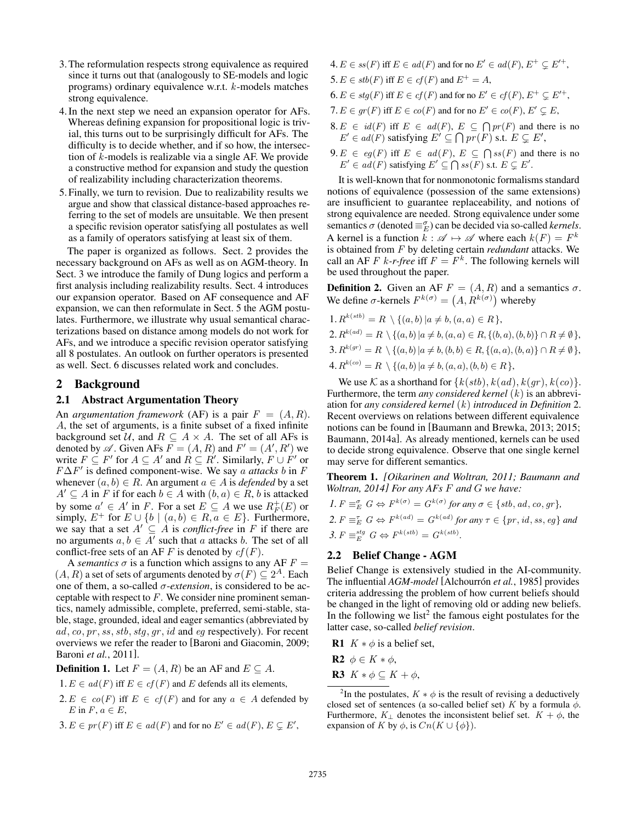- 3.The reformulation respects strong equivalence as required since it turns out that (analogously to SE-models and logic programs) ordinary equivalence w.r.t. k-models matches strong equivalence.
- 4.In the next step we need an expansion operator for AFs. Whereas defining expansion for propositional logic is trivial, this turns out to be surprisingly difficult for AFs. The difficulty is to decide whether, and if so how, the intersection of  $k$ -models is realizable via a single AF. We provide a constructive method for expansion and study the question of realizability including characterization theorems.
- 5.Finally, we turn to revision. Due to realizability results we argue and show that classical distance-based approaches referring to the set of models are unsuitable. We then present a specific revision operator satisfying all postulates as well as a family of operators satisfying at least six of them.

The paper is organized as follows. Sect. 2 provides the necessary background on AFs as well as on AGM-theory. In Sect. 3 we introduce the family of Dung logics and perform a first analysis including realizability results. Sect. 4 introduces our expansion operator. Based on AF consequence and AF expansion, we can then reformulate in Sect. 5 the AGM postulates. Furthermore, we illustrate why usual semantical characterizations based on distance among models do not work for AFs, and we introduce a specific revision operator satisfying all 8 postulates. An outlook on further operators is presented as well. Sect. 6 discusses related work and concludes.

# 2 Background

#### 2.1 Abstract Argumentation Theory

An *argumentation framework* (AF) is a pair  $F = (A, R)$ . A, the set of arguments, is a finite subset of a fixed infinite background set  $U$ , and  $R \subseteq A \times A$ . The set of all AFs is denoted by  $\mathscr A$ . Given AFs  $F = (A, R)$  and  $F' = (A', R')$  we write  $F \subseteq F'$  for  $A \subseteq A'$  and  $R \subseteq R'$ . Similarly,  $F \cup F'$  or F∆F 0 is defined component-wise. We say a *attacks* b in F whenever  $(a, b) \in R$ . An argument  $a \in A$  is *defended* by a set  $A' \subseteq A$  in F if for each  $b \in A$  with  $(b, a) \in R$ , b is attacked by some  $a' \in A'$  in F. For a set  $E \subseteq A$  we use  $R_F^+(E)$  or simply,  $E^+$  for  $E \cup \{b \mid (a, b) \in R, a \in E\}$ . Furthermore, we say that a set  $A' \subseteq A$  is *conflict-free* in F if there are no arguments  $a, b \in A'$  such that a attacks b. The set of all conflict-free sets of an AF F is denoted by  $cf(F)$ .

A *semantics*  $\sigma$  is a function which assigns to any AF  $F =$  $(A, R)$  a set of sets of arguments denoted by  $\sigma(F) \subseteq 2^A$ . Each one of them, a so-called  $\sigma$ -*extension*, is considered to be acceptable with respect to  $F$ . We consider nine prominent semantics, namely admissible, complete, preferred, semi-stable, stable, stage, grounded, ideal and eager semantics (abbreviated by  $ad, co, pr, ss, stb, stg, gr, id$  and  $eg$  respectively). For recent overviews we refer the reader to [Baroni and Giacomin, 2009; Baroni *et al.*, 2011].

**Definition 1.** Let  $F = (A, R)$  be an AF and  $E \subseteq A$ .

- $1.E \in ad(F)$  iff  $E \in cf(F)$  and E defends all its elements,
- $2.E \in co(F)$  iff  $E \in cf(F)$  and for any  $a \in A$  defended by  $E$  in  $F, a \in E$ ,
- 3.  $E \in pr(F)$  iff  $E \in ad(F)$  and for no  $E' \in ad(F)$ ,  $E \subsetneq E'$ ,
- $4.E \in \mathfrak{ss}(F)$  iff  $E \in \mathfrak{ad}(F)$  and for no  $E' \in \mathfrak{ad}(F)$ ,  $E^+ \subsetneq E'^+$ ,
- 5.  $E \in stb(F)$  iff  $E \in cf(F)$  and  $E^+ = A$ ,
- $6. E \in stg(F)$  iff  $E \in cf(F)$  and for no  $E' \in cf(F), E^+ \subsetneq E'^+,$
- 7.  $E \in gr(F)$  iff  $E \in co(F)$  and for no  $E' \in co(F)$ ,  $E' \subsetneq E$ ,
- 8.  $E \in id(F)$  iff  $E \in ad(F)$ ,  $E \subseteq \bigcap pr(F)$  and there is no  $E' \in ad(F)$  satisfying  $E' \subseteq \bigcap p\overline{r}(F)$  s.t.  $E \subsetneq E'$ ,
- $9.E \in eg(F)$  iff  $E \in ad(F), E \subseteq \bigcap ss(F)$  and there is no  $E' \in ad(F)$  satisfying  $E' \subseteq \bigcap ss(F)$  s.t.  $E \subsetneq E'$ .

It is well-known that for nonmonotonic formalisms standard notions of equivalence (possession of the same extensions) are insufficient to guarantee replaceability, and notions of strong equivalence are needed. Strong equivalence under some semantics  $\sigma$  (denoted  $\equiv_E^{\sigma}$ ) can be decided via so-called *kernels*. A kernel is a function  $k : \mathscr{A} \mapsto \mathscr{A}$  where each  $k(F) = F^k$ is obtained from F by deleting certain *redundant* attacks. We call an AF F k-r-free iff  $F = F^k$ . The following kernels will be used throughout the paper.

**Definition 2.** Given an AF  $F = (A, R)$  and a semantics  $\sigma$ . We define  $\sigma$ -kernels  $F^{k(\sigma)} = (A, R^{k(\sigma)})$  whereby

1. 
$$
R^{k(stb)} = R \setminus \{(a, b) | a \neq b, (a, a) \in R\},
$$
  
\n2.  $R^{k(at)} = R \setminus \{(a, b) | a \neq b, (a, a) \in R, \{(b, a), (b, b)\} \cap R \neq \emptyset\},$   
\n3.  $R^{k(gr)} = R \setminus \{(a, b) | a \neq b, (b, b) \in R, \{(a, a), (b, a)\} \cap R \neq \emptyset\},$   
\n4.  $R^{k(co)} = R \setminus \{(a, b) | a \neq b, (a, a), (b, b) \in R\},$ 

We use K as a shorthand for  $\{k(stb), k(ad), k(gr), k(co)\}.$ Furthermore, the term *any considered kernel* (k) is an abbreviation for *any considered kernel* (k) *introduced in Definition* 2. Recent overviews on relations between different equivalence notions can be found in [Baumann and Brewka, 2013; 2015; Baumann, 2014a]. As already mentioned, kernels can be used to decide strong equivalence. Observe that one single kernel may serve for different semantics.

Theorem 1. *[Oikarinen and Woltran, 2011; Baumann and Woltran, 2014] For any AFs* F *and* G *we have:*

\n- $$
I. F \equiv_E^{\sigma} G \Leftrightarrow F^{k(\sigma)} = G^{k(\sigma)}
$$
 for any  $\sigma \in \{stb, ad, co, gr\}$ ,
\n- $2. F \equiv_E^{\tau} G \Leftrightarrow F^{k(ad)} = G^{k(ad)}$  for any  $\tau \in \{pr, id, ss, eg\}$  and
\n- $3. F \equiv_E^{stg} G \Leftrightarrow F^{k(stb)} = G^{k(stb)}$ .
\n

### 2.2 Belief Change - AGM

Belief Change is extensively studied in the AI-community. The influential *AGM-model* [Alchourrón et al., 1985] provides criteria addressing the problem of how current beliefs should be changed in the light of removing old or adding new beliefs. In the following we list<sup>2</sup> the famous eight postulates for the latter case, so-called *belief revision*.

**R1**  $K * \phi$  is a belief set,

$$
\mathbf{R2}\ \ \phi\in K\ast\phi,
$$

R3  $K * \phi \subseteq K + \phi$ ,

<sup>&</sup>lt;sup>2</sup>In the postulates,  $K * \phi$  is the result of revising a deductively closed set of sentences (a so-called belief set) K by a formula  $\phi$ . Furthermore,  $K_{\perp}$  denotes the inconsistent belief set.  $K + \phi$ , the expansion of K by  $\phi$ , is  $Cn(K \cup \{\phi\})$ .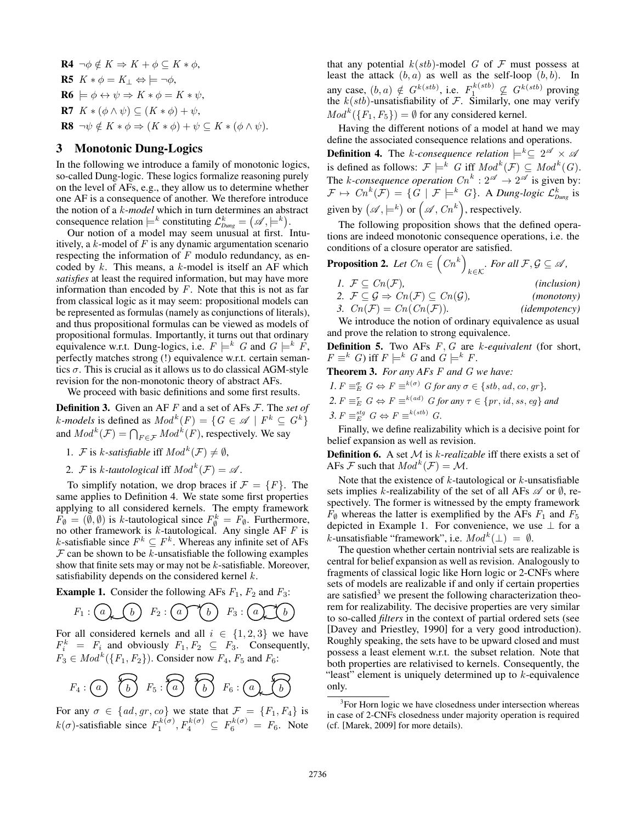R4 ¬φ /∈ K ⇒ K + φ ⊆ K ∗ φ, R5 K ∗ φ = K<sup>⊥</sup> ⇔ |= ¬φ, R6 |= φ ↔ ψ ⇒ K ∗ φ = K ∗ ψ, R7 K ∗ (φ ∧ ψ) ⊆ (K ∗ φ) + ψ, R8 ¬ψ /∈ K ∗ φ ⇒ (K ∗ φ) + ψ ⊆ K ∗ (φ ∧ ψ).

### 3 Monotonic Dung-Logics

In the following we introduce a family of monotonic logics, so-called Dung-logic. These logics formalize reasoning purely on the level of AFs, e.g., they allow us to determine whether one AF is a consequence of another. We therefore introduce the notion of a k-*model* which in turn determines an abstract consequence relation  $\models^k$  constituting  $\mathcal{L}_{Dung}^k = (\mathscr{A}, \models^k)$ .

Our notion of a model may seem unusual at first. Intuitively, a  $k$ -model of  $F$  is any dynamic argumentation scenario respecting the information of  $F$  modulo redundancy, as encoded by  $k$ . This means, a  $k$ -model is itself an AF which *satisfies* at least the required information, but may have more information than encoded by  $F$ . Note that this is not as far from classical logic as it may seem: propositional models can be represented as formulas (namely as conjunctions of literals), and thus propositional formulas can be viewed as models of propositional formulas. Importantly, it turns out that ordinary equivalence w.r.t. Dung-logics, i.e.  $F \models^k G$  and  $G \models^k F$ , perfectly matches strong (!) equivalence w.r.t. certain semantics  $\sigma$ . This is crucial as it allows us to do classical AGM-style revision for the non-monotonic theory of abstract AFs.

We proceed with basic definitions and some first results.

Definition 3. Given an AF F and a set of AFs F. The *set of k*-models is defined as  $Mod^k(F) = \{ G \in \mathcal{A} \mid F^k \subseteq G^k \}$ and  $Mod^k(\mathcal{F}) = \bigcap_{F \in \mathcal{F}} Mod^k(F)$ , respectively. We say

- 1. *F* is *k*-satisfiable iff  $Mod<sup>k</sup>(F) \neq \emptyset$ ,
- 2. *F* is *k*-tautological iff  $Mod<sup>k</sup>(F) = A$ .

To simplify notation, we drop braces if  $\mathcal{F} = \{F\}$ . The same applies to Definition 4. We state some first properties applying to all considered kernels. The empty framework  $\overline{F}_{\emptyset} = (\overline{\emptyset}, \emptyset)$  is k-tautological since  $F_{\emptyset}^k = F_{\emptyset}$ . Furthermore, no other framework is  $k$ -tautological. Any single AF  $F$  is k-satisfiable since  $F^k \subseteq F^k$ . Whereas any infinite set of AFs  $\mathcal F$  can be shown to be k-unsatisfiable the following examples show that finite sets may or may not be  $k$ -satisfiable. Moreover, satisfiability depends on the considered kernel  $k$ .

**Example 1.** Consider the following AFs  $F_1$ ,  $F_2$  and  $F_3$ :

$$
F_1: \bigcirc \hspace{-0.75cm} \bigcirc \hspace{-0.75cm} \bigcirc \hspace{-0.75cm} \bigcirc \hspace{-0.75cm} \bigcirc \hspace{-0.75cm} \bigcirc \hspace{-0.75cm} \bigcirc \hspace{-0.75cm} \bigcirc \hspace{-0.75cm} \bigcirc \hspace{-0.75cm} \bigcirc \hspace{-0.75cm} \bigcirc \hspace{-0.75cm} \bigcirc \hspace{-0.75cm} \bigcirc \hspace{-0.75cm} \bigcirc \hspace{-0.75cm} \bigcirc \hspace{-0.75cm} \bigcirc \hspace{-0.75cm} \bigcirc \hspace{-0.75cm} \bigcirc \hspace{-0.75cm} \bigcirc \hspace{-0.75cm} \bigcirc \hspace{-0.75cm} \bigcirc \hspace{-0.75cm} \bigcirc \hspace{-0.75cm} \bigcirc \hspace{-0.75cm} \bigcirc \hspace{-0.75cm} \bigcirc \hspace{-0.75cm} \bigcirc \hspace{-0.75cm} \bigcirc \hspace{-0.75cm} \bigcirc \hspace{-0.75cm} \bigcirc \hspace{-0.75cm} \bigcirc \hspace{-0.75cm} \bigcirc \hspace{-0.75cm} \bigcirc \hspace{-0.75cm} \bigcirc \hspace{-0.75cm} \bigcirc \hspace{-0.75cm} \bigcirc \hspace{-0.75cm} \bigcirc \hspace{-0.75cm} \bigcirc \hspace{-0.75cm} \bigcirc \hspace{-0.75cm} \bigcirc \hspace{-0.75cm} \bigcirc \hspace{-0.75cm} \bigcirc \hspace{-0.75cm} \bigcirc \hspace{-0.75cm} \bigcirc \hspace{-0.75cm} \bigcirc \hspace{-0.75cm} \bigcirc \hspace{-0.75cm} \bigcirc \hspace{-0.75cm} \bigcirc \hspace{-0.75cm} \bigcirc \hspace{-0.75cm} \bigcirc \hspace{-0.75cm} \bigcirc \hspace{-0.75cm} \bigcirc \hspace{-0.75cm} \bigcirc \hspace{-0.75cm} \bigcirc \hspace{-0.75cm} \bigcirc \hspace{-0.75cm} \bigcirc \hspace{-0.75cm} \bigcirc \hspace{-0.75cm} \bigcirc \hspace{-0.75cm} \bigcirc \hspace{-0.75cm} \
$$

For all considered kernels and all  $i \in \{1,2,3\}$  we have  $F_i^k = F_i$  and obviously  $F_1, F_2 \subseteq F_3$ . Consequently,  $F_3 \in Mod^k(\lbrace F_1, F_2 \rbrace)$ . Consider now  $F_4$ ,  $F_5$  and  $F_6$ :

$$
F_4: \begin{matrix} & & & \\ & & & \end{matrix} \qquad \begin{matrix} & & & \\ & & & \end{matrix} \qquad F_5: \begin{matrix} & & & \\ & & & \end{matrix} \qquad \begin{matrix} & & & \\ & & & \end{matrix} \qquad \begin{matrix} & & & \\ & & & \end{matrix} \qquad \begin{matrix} & & & \\ & & & \end{matrix} \qquad \begin{matrix} & & & \\ & & & \end{matrix} \qquad \begin{matrix} & & & \\ & & & \end{matrix} \qquad \begin{matrix} & & & \\ & & & \end{matrix} \qquad \begin{matrix} & & & \end{matrix} \qquad \begin{matrix} & & & & \end{matrix} \qquad \begin{matrix} & & & & \end{matrix} \qquad \begin{matrix} & & & & \end{matrix} \qquad \begin{matrix} & & & & \end{matrix} \qquad \begin{matrix} & & & & \end{matrix} \qquad \begin{matrix} & & & & \end{matrix} \qquad \begin{matrix} & & & & \end{matrix} \qquad \begin{matrix} & & & & \end{matrix} \qquad \begin{matrix} & & & & \end{matrix} \qquad \begin{matrix} & & & & \end{matrix} \qquad \begin{matrix} & & & & \end{matrix} \qquad \begin{matrix} & & & & \end{matrix} \qquad \begin{matrix} & & & & \end{matrix} \qquad \begin{matrix} & & & & \end{matrix} \qquad \begin{matrix} & & & & \end{matrix} \qquad \begin{matrix} & & & & \end{matrix} \qquad \begin{matrix} & & & & \end{matrix} \qquad \begin{matrix} & & & & \end{matrix} \qquad \begin{matrix} & & & & \end{matrix} \qquad \begin{matrix} & & & & \end{matrix} \qquad \begin{matrix} & & & & \end{matrix} \qquad \begin{matrix} & & & & \end{matrix} \qquad \begin{matrix} & & & & \end{matrix} \qquad \begin{matrix} & & & & \end{matrix} \qquad \begin{matrix} & & & & \end{matrix} \qquad \begin{matrix} & & & & \end{matrix} \qquad \begin{matrix} & & & & \end{matrix} \qquad \begin{matrix} & & & & \end{matrix} \qquad \begin{matrix} & & & & \end{matrix} \qquad \begin{matrix} & & & & \end{matrix} \qquad \begin{matrix} & & & & \end{matrix} \qquad \begin{matrix} & & & & \end{matrix} \qquad \begin{matrix} & & & & \end
$$

For any  $\sigma \in \{ad, gr, co\}$  we state that  $\mathcal{F} = \{F_1, F_4\}$  is  $k(\sigma)$ -satisfiable since  $F_1^{k(\sigma)}$ ,  $F_4^{k(\sigma)} \subseteq F_6^{k(\sigma)} = F_6$ . Note

that any potential  $k(stb)$ -model G of F must possess at least the attack  $(b, a)$  as well as the self-loop  $(b, b)$ . In any case,  $(b, a) \notin G^{k(sbb)}$ , i.e.  $F_1^{k(sbb)} \nsubseteq G^{k(sbb)}$  proving the  $k(stb)$ -unsatisfiability of  $\mathcal F$ . Similarly, one may verify  $Mod<sup>k</sup>(\{F_1, F_5\}) = \emptyset$  for any considered kernel.

Having the different notions of a model at hand we may define the associated consequence relations and operations.

**Definition 4.** The *k*-consequence relation  $\models^k\subseteq 2^{\mathscr{A}} \times \mathscr{A}$ is defined as follows:  $\mathcal{F} \models^k G$  iff  $Mod^k(\mathcal{F}) \subseteq Mod^k(G)$ . The *k*-consequence operation  $Cn^k: 2^{\mathscr{A}} \to 2^{\mathscr{A}}$  is given by:  $\mathcal{F} \mapsto \textit{Cn}^k(\mathcal{F}) = \{ G \mid \mathcal{F} \models^k G \}.$  A *Dung-logic*  $\mathcal{L}_{Dung}^k$  is given by  $(\mathscr{A},\models^k)$  or  $(\mathscr{A},\mathcal{C}n^k)$ , respectively.

The following proposition shows that the defined operations are indeed monotonic consequence operations, i.e. the conditions of a closure operator are satisfied.

**Proposition 2.** Let 
$$
Cn \in (Cn^k)_{k \in K}
$$
. For all  $\mathcal{F}, \mathcal{G} \subseteq \mathcal{A}$ ,

1. 
$$
\mathcal{F} \subseteq Cn(\mathcal{F}),
$$
 (inclusion)  
2.  $\mathcal{F} \subseteq \mathcal{G} \Rightarrow Cn(\mathcal{F}) \subseteq Cn(\mathcal{G}),$  (monotony)

3. 
$$
Cn(F) = Cn(Cn(F))
$$
. (idempotency)

We introduce the notion of ordinary equivalence as usual and prove the relation to strong equivalence.

Definition 5. Two AFs F, G are k-*equivalent* (for short,  $F \equiv^k G$ ) iff  $F \models^k G$  and  $G \models^k F$ .

Theorem 3. *For any AFs* F *and* G *we have:*

*1.*  $F \equiv_{E}^{\sigma} G \Leftrightarrow F \equiv^{k(\sigma)} G$  *for any*  $\sigma \in \{stb, ad, co, gr\}$ *,* 

2.  $F \equiv^{\tau}_{E} G \Leftrightarrow F \equiv^{k(ad)} G$  *for any*  $\tau \in \{pr, id, ss, eg\}$  *and* 

 $3. F \equiv_E^{stg} G \Leftrightarrow F \equiv^{k(stb)} G.$ 

Finally, we define realizability which is a decisive point for belief expansion as well as revision.

Definition 6. A set M is k-*realizable* iff there exists a set of AFs F such that  $Mod^k(\mathcal{F}) = \mathcal{M}$ .

Note that the existence of  $k$ -tautological or  $k$ -unsatisfiable sets implies k-realizability of the set of all AFs  $\mathscr A$  or  $\emptyset$ , respectively. The former is witnessed by the empty framework  $F_{\emptyset}$  whereas the latter is exemplified by the AFs  $F_1$  and  $F_5$ depicted in Example 1. For convenience, we use  $\perp$  for a *k*-unsatisfiable "framework", i.e.  $Mod<sup>k</sup>(\bot) = \emptyset$ .

The question whether certain nontrivial sets are realizable is central for belief expansion as well as revision. Analogously to fragments of classical logic like Horn logic or 2-CNFs where sets of models are realizable if and only if certain properties are satisfied<sup>3</sup> we present the following characterization theorem for realizability. The decisive properties are very similar to so-called *filters* in the context of partial ordered sets (see [Davey and Priestley, 1990] for a very good introduction). Roughly speaking, the sets have to be upward closed and must possess a least element w.r.t. the subset relation. Note that both properties are relativised to kernels. Consequently, the "least" element is uniquely determined up to  $k$ -equivalence only.

<sup>&</sup>lt;sup>3</sup>For Horn logic we have closedness under intersection whereas in case of 2-CNFs closedness under majority operation is required (cf. [Marek, 2009] for more details).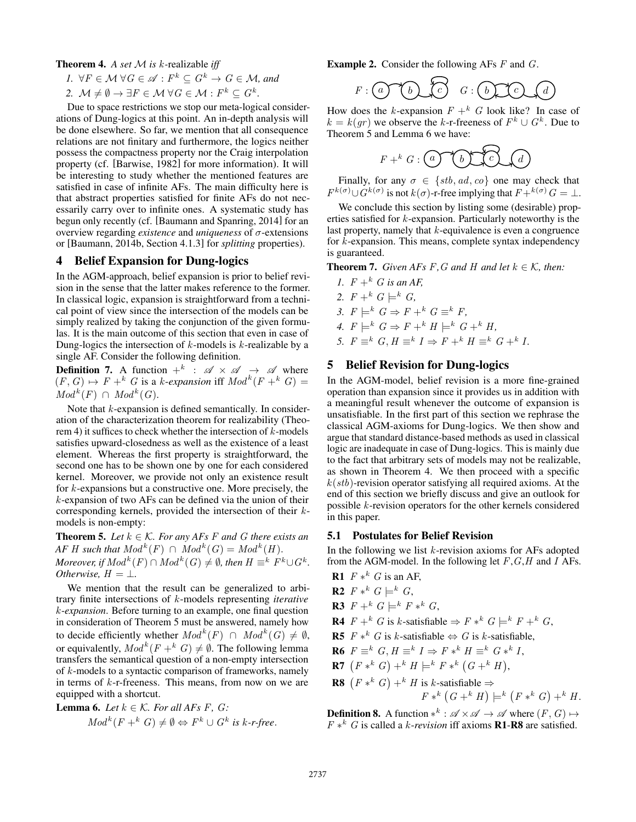Theorem 4. *A set* M *is* k*-*realizable *iff*

*1.*  $\forall F \in \mathcal{M} \ \forall G \in \mathcal{A} : F^k \subseteq G^k \rightarrow G \in \mathcal{M}$ , and

2. 
$$
\mathcal{M} \neq \emptyset \rightarrow \exists F \in \mathcal{M} \ \forall G \in \mathcal{M} : F^k \subseteq G^k
$$
.

Due to space restrictions we stop our meta-logical considerations of Dung-logics at this point. An in-depth analysis will be done elsewhere. So far, we mention that all consequence relations are not finitary and furthermore, the logics neither possess the compactness property nor the Craig interpolation property (cf. [Barwise, 1982] for more information). It will be interesting to study whether the mentioned features are satisfied in case of infinite AFs. The main difficulty here is that abstract properties satisfied for finite AFs do not necessarily carry over to infinite ones. A systematic study has begun only recently (cf. [Baumann and Spanring, 2014] for an overview regarding *existence* and *uniqueness* of σ-extensions or [Baumann, 2014b, Section 4.1.3] for *splitting* properties).

# 4 Belief Expansion for Dung-logics

In the AGM-approach, belief expansion is prior to belief revision in the sense that the latter makes reference to the former. In classical logic, expansion is straightforward from a technical point of view since the intersection of the models can be simply realized by taking the conjunction of the given formulas. It is the main outcome of this section that even in case of Dung-logics the intersection of  $k$ -models is  $k$ -realizable by a single AF. Consider the following definition.

**Definition 7.** A function  $+^k$  :  $\mathscr{A} \times \mathscr{A} \rightarrow \mathscr{A}$  where  $(F, G) \mapsto F +^k G$  is a k-*expansion* iff  $Mod^k(F +^k G) =$  $Mod<sup>k</sup>(F) \cap Mod<sup>k</sup>(G).$ 

Note that  $k$ -expansion is defined semantically. In consideration of the characterization theorem for realizability (Theorem 4) it suffices to check whether the intersection of  $k$ -models satisfies upward-closedness as well as the existence of a least element. Whereas the first property is straightforward, the second one has to be shown one by one for each considered kernel. Moreover, we provide not only an existence result for k-expansions but a constructive one. More precisely, the k-expansion of two AFs can be defined via the union of their corresponding kernels, provided the intersection of their kmodels is non-empty:

**Theorem 5.** *Let*  $k \in \mathcal{K}$ *. For any AFs F* and *G* there exists an *AF H* such that  $Mod^k(F) \cap Mod^k(G) = Mod^k(H)$ . *Moreover, if*  $Mod^k(F) \cap Mod^k(G) \neq \emptyset$ , then  $H \equiv^k F^k \cup G^k$ . *Otherwise*,  $H = \perp$ *.* 

We mention that the result can be generalized to arbitrary finite intersections of k-models representing *iterative* k-*expansion*. Before turning to an example, one final question in consideration of Theorem 5 must be answered, namely how to decide efficiently whether  $Mod^k(F) \cap Mod^k(G) \neq \emptyset$ , or equivalently,  $Mod^k(F +^k G) \neq \emptyset$ . The following lemma transfers the semantical question of a non-empty intersection of k-models to a syntactic comparison of frameworks, namely in terms of k-r-freeness. This means, from now on we are equipped with a shortcut.

**Lemma 6.** Let 
$$
k \in K
$$
. For all  $AFs F$ ,  $G$ :  
\n $Mod^k(F +^k G) \neq \emptyset \Leftrightarrow F^k \cup G^k$  is  $k$ - $r$ -free.

**Example 2.** Consider the following AFs  $F$  and  $G$ .

$$
F: \begin{array}{|c|c|c|c|c|}\hline \text{G} & \text{G} & \text{G} & \text{G} & \text{G} & \text{G} & \text{G} \\ \hline \text{G} & \text{G} & \text{G} & \text{G} & \text{G} & \text{G} & \text{G} & \text{G} \\ \hline \text{G} & \text{G} & \text{G} & \text{G} & \text{G} & \text{G} & \text{G} & \text{G} & \text{G} \\ \hline \text{G} & \text{G} & \text{G} & \text{G} & \text{G} & \text{G} & \text{G} & \text{G} & \text{G} & \text{G} & \text{G} \\ \hline \end{array}
$$

How does the k-expansion  $F + k$  G look like? In case of  $k = k(gr)$  we observe the k-r-freeness of  $F^k \cup G^k$ . Due to Theorem 5 and Lemma 6 we have:

$$
F + ^k G : \overset{(a)}{\bigcirc} \overset{(b)}{\underbrace{\qquad \qquad }} \overset{(c)}{\bigcirc} \overset{(d)}{\bigcirc}
$$

Finally, for any  $\sigma \in \{stb, ad, co\}$  one may check that  $F^{k(\sigma)} \cup G^{k(\sigma)}$  is not  $k(\sigma)$ -r-free implying that  $F +^{k(\sigma)} G = \bot$ .

We conclude this section by listing some (desirable) properties satisfied for k-expansion. Particularly noteworthy is the last property, namely that  $k$ -equivalence is even a congruence for k-expansion. This means, complete syntax independency is guaranteed.

**Theorem 7.** *Given AFs*  $F$ *, G and*  $H$  *and let*  $k \in K$ *, then:* 

*1.*  $F + k$  *G is an AF*. 2.  $F + ^{k} G \models^{k} G$ , 3.  $F \models^k G \Rightarrow F +^k G \equiv^k F$ . 4.  $F \models^k G \Rightarrow F +^k H \models^k G +^k H$ 5.  $F \equiv^k G, H \equiv^k I \Rightarrow F +^k H \equiv^k G +^k I$ .

# 5 Belief Revision for Dung-logics

In the AGM-model, belief revision is a more fine-grained operation than expansion since it provides us in addition with a meaningful result whenever the outcome of expansion is unsatisfiable. In the first part of this section we rephrase the classical AGM-axioms for Dung-logics. We then show and argue that standard distance-based methods as used in classical logic are inadequate in case of Dung-logics. This is mainly due to the fact that arbitrary sets of models may not be realizable, as shown in Theorem 4. We then proceed with a specific  $k(stb)$ -revision operator satisfying all required axioms. At the end of this section we briefly discuss and give an outlook for possible k-revision operators for the other kernels considered in this paper.

#### 5.1 Postulates for Belief Revision

In the following we list  $k$ -revision axioms for AFs adopted from the AGM-model. In the following let  $F, G, H$  and I AFs.

- **R1**  $F *^k G$  is an AF,
- **R2**  $F *^k G \models^k G$ ,
- **R3**  $F + ^k G \models^k F * ^k G$ ,
- **R4**  $F +^k G$  is k-satisfiable  $\Rightarrow F *^k G \models^k F +^k G$ ,
- **R5**  $F *^k G$  is k-satisfiable  $\Leftrightarrow G$  is k-satisfiable,
- R6  $F \equiv^k G, H \equiv^k I \Rightarrow F *^k H \equiv^k G *^k I$ ,
- **R7**  $(F *^k G) +^k H \models^k F *^k (G +^k H),$
- **R8**  $(F *^k G) +^k H$  is k-satisfiable  $\Rightarrow$  $F *^k (G +^k H) \models^k (F *^k G) +^k H.$

**Definition 8.** A function  $*^k$ :  $\mathscr{A} \times \mathscr{A} \to \mathscr{A}$  where  $(F, G) \mapsto$  $F *^k G$  is called a *k*-*revision* iff axioms **R1-R8** are satisfied.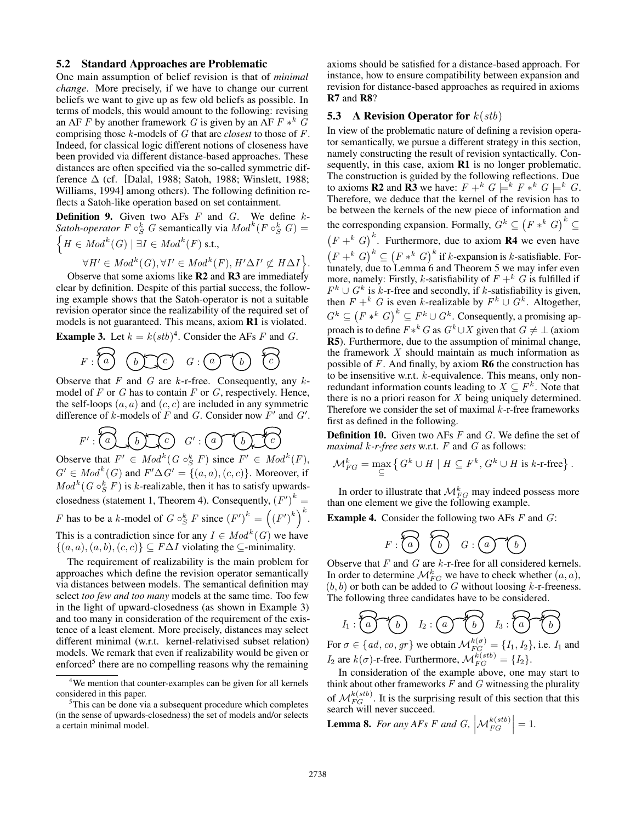#### 5.2 Standard Approaches are Problematic

One main assumption of belief revision is that of *minimal change*. More precisely, if we have to change our current beliefs we want to give up as few old beliefs as possible. In terms of models, this would amount to the following: revising an AF F by another framework G is given by an AF  $F *^k G$ comprising those k-models of G that are *closest* to those of F. Indeed, for classical logic different notions of closeness have been provided via different distance-based approaches. These distances are often specified via the so-called symmetric difference  $\Delta$  (cf. [Dalal, 1988; Satoh, 1988; Winslett, 1988; Williams, 1994] among others). The following definition reflects a Satoh-like operation based on set containment.

**Definition 9.** Given two AFs  $F$  and  $G$ . We define  $k$ -*Satoh-operator*  $F \circ_S^k G$  semantically via  $Mod^k(F \circ_S^k G)$  =  $\left\{H \in Mod^k(G) \mid \exists I \in Mod^k(F) \text{ s.t.},\right\}$ 

$$
\forall H' \in Mod^k(G), \forall I' \in Mod^k(F), H'\Delta I' \not\subset H\Delta I \bigg\}.
$$

Observe that some axioms like  $R2$  and  $R3$  are immediately clear by definition. Despite of this partial success, the following example shows that the Satoh-operator is not a suitable revision operator since the realizability of the required set of models is not guaranteed. This means, axiom R1 is violated.

**Example 3.** Let  $k = k(stb)^4$ . Consider the AFs F and G.

$$
F: \widehat{\begin{pmatrix} a \\ b \end{pmatrix} \quad \text{(b)} \quad G: \text{(a)} \quad \text{(b)} \quad \widehat{\begin{pmatrix} a \\ c \end{pmatrix} \quad \text{(c)} \quad \text{(d)} \quad \text{(e)} \quad \text{(f)} \quad \text{(g)} \quad \text{(g)} \quad \text{(h)} \quad \text{(i)} \quad \text{(i)} \quad \text{(ii)} \quad \text{(iii)} \quad \text{(iv)} \quad \text{(iv)} \quad \text{(v)} \quad \text{(v)} \quad \text{(v)} \quad \text{(vi)} \quad \text{(v)} \quad \text{(v)} \quad \text{(v)} \quad \text{(vi)} \quad \text{(v)} \quad \text{(v)} \quad \text{(v)} \quad \text{(vi)} \quad \text{(v)} \quad \text{(v)} \quad \text{(v)} \quad \text{(vi)} \quad \text{(v)} \quad \text{(v)} \quad \text{(v)} \quad \text{(v)} \quad \text{(v)} \quad \text{(v)} \quad \text{(v)} \quad \text{(v)} \quad \text{(v)} \quad \text{(v)} \quad \text{(v)} \quad \text{(v)} \quad \text{(v)} \quad \text{(v)} \quad \text{(v)} \quad \text{(v)} \quad \text{(v)} \quad \text{(v)} \quad \text{(v)} \quad \text{(v)} \quad \text{(v)} \quad \text{(v)} \quad \text{(v)} \quad \text{(v)} \quad \text{(v)} \quad \text{(v)} \quad \text{(v)} \quad \text{(v)} \quad \text{(v)} \quad \text{(v)} \quad \text{(v)} \quad \text{(v)} \quad \text{(v)} \quad \text{(v)} \quad \text{(v)} \quad \text{(v)} \quad \text{(v)} \quad \text{(v)} \quad \text{(v)} \quad \text{(v)} \quad \text{(v)} \quad \text{(v)} \quad \text{(v)} \quad \text{(v)} \quad \text{(v)} \quad \text{(v)} \quad \text{(v)} \quad \text{(v)} \quad \text{(v)} \quad \text{(v)} \quad \text{(v)} \quad \text{(v)} \quad \text{(v)} \quad \text{(v)} \quad \text{(v)} \quad \text{(v)} \quad \text{(v)} \quad \text{(v)} \quad \text{(v)} \quad \text{(v)} \quad \text{(v)} \quad \text{(v)} \quad \text{(v)} \quad \text{(v)} \quad \text{(v)} \quad \text{(v)} \quad \text{(v)} \quad \text{(v)} \quad \text{(v)} \quad \text{(v)} \quad \
$$

Observe that  $F$  and  $G$  are  $k$ -r-free. Consequently, any  $k$ model of  $F$  or  $G$  has to contain  $F$  or  $G$ , respectively. Hence, the self-loops  $(a, a)$  and  $(c, c)$  are included in any symmetric difference of k-models of F and G. Consider now  $F'$  and  $G'$ .

$$
F':\overbrace{a}\bigodot\bigodot\bigodot\hspace{0.1cm}G':\bigodot\hspace{0.1cm}\bigodot\hspace{0.1cm}\bigodot\hspace{0.1cm}\bigodot\hspace{0.1cm}\bigodot\hspace{0.1cm}\bigodot\hspace{0.1cm}\bigodot\hspace{0.1cm}\bigodot\hspace{0.1cm}\bigodot\hspace{0.1cm}\bigodot\hspace{0.1cm}\bigodot\hspace{0.1cm}\bigodot\hspace{0.1cm}\bigodot\hspace{0.1cm}\bigodot\hspace{0.1cm}\bigodot\hspace{0.1cm}\bigodot\hspace{0.1cm}\bigodot\hspace{0.1cm}\bigodot\hspace{0.1cm}\bigodot\hspace{0.1cm}\bigodot\hspace{0.1cm}\bigodot\hspace{0.1cm}\bigodot\hspace{0.1cm}\bigodot\hspace{0.1cm}\bigodot\hspace{0.1cm}\bigodot\hspace{0.1cm}\bigodot\hspace{0.1cm}\bigodot\hspace{0.1cm}\bigodot\hspace{0.1cm}\bigodot\hspace{0.1cm}\bigodot\hspace{0.1cm}\bigodot\hspace{0.1cm}\bigodot\hspace{0.1cm}\bigodot\hspace{0.1cm}\bigodot\hspace{0.1cm}\bigodot\hspace{0.1cm}\bigodot\hspace{0.1cm}\bigodot\hspace{0.1cm}\bigodot\hspace{0.1cm}\bigodot\hspace{0.1cm}\bigodot\hspace{0.1cm}\bigodot\hspace{0.1cm}\bigodot\hspace{0.1cm}\bigodot\hspace{0.1cm}\bigodot\hspace{0.1cm}\bigodot\hspace{0.1cm}\bigodot\hspace{0.1cm}\bigodot\hspace{0.1cm}\bigodot\hspace{0.1cm}\bigodot\hspace{0.1cm}\bigodot\hspace{0.1cm}\bigodot\hspace{0.1cm}\bigodot\hspace{0.1cm}\bigodot\hspace{0.1cm}\bigodot\hspace{0.1cm}\bigodot\hspace{0.1cm}\bigodot\hspace{0.1cm}\bigodot\hspace{0.1cm}\bigodot\hspace{0.1cm}\bigodot\hspace{0.1cm}\bigodot\hspace{0.1cm}\bigodot\hspace{0
$$

Observe that  $F' \in Mod^k(G \circ_S^k F)$  since  $F' \in Mod^k(F)$ ,  $G' \in Mod^k(G)$  and  $F' \Delta G' = \{(a, a), (c, c)\}\)$ . Moreover, if  $Mod<sup>k</sup>(G \circ_S^k F)$  is k-realizable, then it has to satisfy upwardsclosedness (statement 1, Theorem 4). Consequently,  $(F')^k =$ F has to be a k-model of  $G \circ_S^k F$  since  $(F')^k = ((F')^k)^k$ . This is a contradiction since for any  $I \in Mod^k(G)$  we have  $\{(a, a), (a, b), (c, c)\}\subseteq F\Delta I$  violating the  $\subseteq$ -minimality.

The requirement of realizability is the main problem for approaches which define the revision operator semantically via distances between models. The semantical definition may select *too few and too many* models at the same time. Too few in the light of upward-closedness (as shown in Example 3) and too many in consideration of the requirement of the existence of a least element. More precisely, distances may select different minimal (w.r.t. kernel-relativised subset relation) models. We remark that even if realizability would be given or enforced<sup>5</sup> there are no compelling reasons why the remaining

axioms should be satisfied for a distance-based approach. For instance, how to ensure compatibility between expansion and revision for distance-based approaches as required in axioms R7 and R8?

#### **5.3** A Revision Operator for  $k(stb)$

In view of the problematic nature of defining a revision operator semantically, we pursue a different strategy in this section, namely constructing the result of revision syntactically. Consequently, in this case, axiom R1 is no longer problematic. The construction is guided by the following reflections. Due to axioms **R2** and **R3** we have:  $F + ^k G \models^k F * ^k G \models^k G$ . Therefore, we deduce that the kernel of the revision has to be between the kernels of the new piece of information and the corresponding expansion. Formally,  $G^k \subseteq (F *^k G)^k \subseteq$  $(F +^{k} G)^{k}$ . Furthermore, due to axiom **R4** we even have  $(F +^{k} G)^{k} \subseteq (F *^{k} G)^{k}$  if k-expansion is k-satisfiable. Fortunately, due to Lemma 6 and Theorem 5 we may infer even more, namely: Firstly, k-satisfiability of  $F + ^{k}G$  is fulfilled if  $F^k \cup G^k$  is k-r-free and secondly, if k-satisfiability is given, then  $F + k$  G is even k-realizable by  $F^k \cup G^k$ . Altogether,  $G^k \subseteq (F *^k G)^k \subseteq F^k \cup G^k$ . Consequently, a promising approach is to define  $F *^k G$  as  $G^k \cup X$  given that  $G \neq \bot$  (axiom R5). Furthermore, due to the assumption of minimal change, the framework  $X$  should maintain as much information as possible of  $F$ . And finally, by axiom  $R6$  the construction has to be insensitive w.r.t. k-equivalence. This means, only nonredundant information counts leading to  $X \subseteq F^k$ . Note that there is no a priori reason for  $X$  being uniquely determined. Therefore we consider the set of maximal  $k$ -r-free frameworks first as defined in the following.

**Definition 10.** Given two AFs  $F$  and  $G$ . We define the set of *maximal* k*-r-free sets* w.r.t. F and G as follows:

$$
\mathcal{M}_{FG}^k = \max_{\subseteq} \left\{ G^k \cup H \mid H \subseteq F^k, G^k \cup H \text{ is } k\text{-r-free} \right\}.
$$

In order to illustrate that  ${\cal M}^{k}_{FG}$  may indeed possess more than one element we give the following example.

**Example 4.** Consider the following two AFs  $F$  and  $G$ :

$$
F: \widehat{\begin{array}{ccc} & & \\ \hline & & \\ & & \end{array}} \quad \widehat{\begin{array}{ccc} & & \\ & & G \end{array}} \quad G: \widehat{a} \quad \widehat{\begin{array}{ccc} & & \\ & & \end{array}} \quad \widehat{b}
$$

Observe that  $F$  and  $G$  are  $k$ -r-free for all considered kernels. In order to determine  $\mathcal{M}_{FG}^k$  we have to check whether  $(a, a)$ ,  $(b, b)$  or both can be added to G without loosing k-r-freeness. The following three candidates have to be considered.

$$
I_1: \overbrace{a} \qquad \qquad I_2: \overbrace{a} \qquad \qquad \overbrace{b} \qquad \qquad I_3: \overbrace{a} \qquad \qquad \overbrace{b}
$$

For  $\sigma \in \{ad, co, gr\}$  we obtain  $\mathcal{M}_{FG}^{k(\sigma)} = \{I_1, I_2\}$ , i.e.  $I_1$  and  $I_2$  are  $k(\sigma)$ -r-free. Furthermore,  $\mathcal{M}_{FG}^{k(stb)} = \{I_2\}.$ 

In consideration of the example above, one may start to think about other frameworks  $F$  and  $G$  witnessing the plurality of  $\mathcal{M}_{FG}^{k(stb)}$ . It is the surprising result of this section that this search will never succeed.

**Lemma 8.** For any AFs F and G,  $\left|\mathcal{M}_{FG}^{k(stb)}\right|=1$ .

<sup>4</sup>We mention that counter-examples can be given for all kernels considered in this paper.

 $5$ This can be done via a subsequent procedure which completes (in the sense of upwards-closedness) the set of models and/or selects a certain minimal model.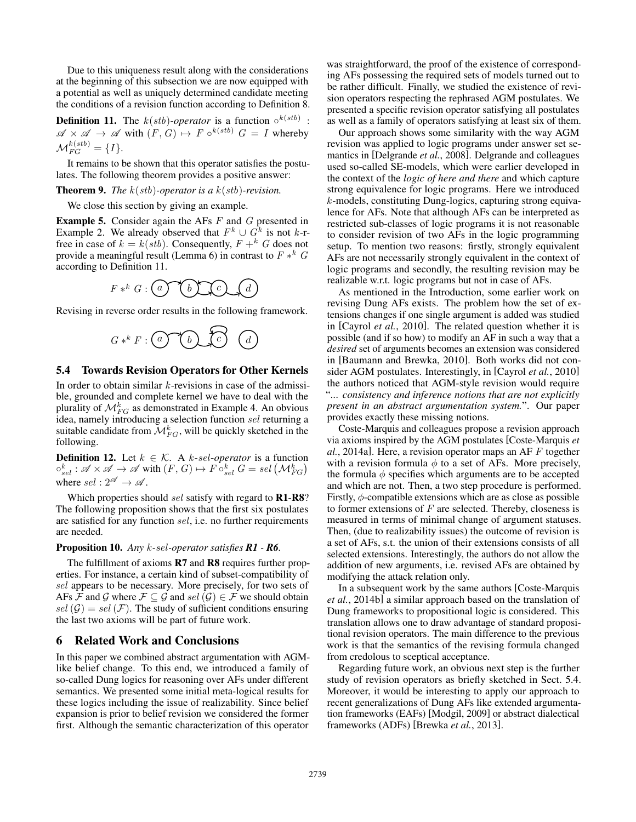Due to this uniqueness result along with the considerations at the beginning of this subsection we are now equipped with a potential as well as uniquely determined candidate meeting the conditions of a revision function according to Definition 8.

**Definition 11.** The  $k(stb)$ -operator is a function  $\circ^{k(stb)}$ :  $\mathscr{A} \times \mathscr{A} \to \mathscr{A}$  with  $(F, G) \mapsto F \circ^{k(stb)} G = I$  whereby  $\mathcal{M}_{FG}^{k(stb)}=\{I\}.$ 

It remains to be shown that this operator satisfies the postulates. The following theorem provides a positive answer:

#### Theorem 9. *The* k(stb)*-operator is a* k(stb)*-revision.*

We close this section by giving an example.

**Example 5.** Consider again the AFs  $F$  and  $G$  presented in Example 2. We already observed that  $F^k \cup G^k$  is not k-rfree in case of  $k = k(stb)$ . Consequently,  $F + k$  G does not provide a meaningful result (Lemma 6) in contrast to  $F *^k G$ according to Definition 11.



Revising in reverse order results in the following framework.



#### 5.4 Towards Revision Operators for Other Kernels

In order to obtain similar  $k$ -revisions in case of the admissible, grounded and complete kernel we have to deal with the plurality of  $\mathcal{M}_{FG}^{k}$  as demonstrated in Example 4. An obvious idea, namely introducing a selection function sel returning a suitable candidate from  $\mathcal{M}_{FG}^k$ , will be quickly sketched in the following.

**Definition 12.** Let  $k \in \mathcal{K}$ . A k-sel-operator is a function  $\circ_{sel}^k : \mathscr{A} \times \mathscr{A} \to \mathscr{A}$  with  $(F,G) \mapsto F \circ_{sel}^k G = sel \left(\mathcal{M}_{FG}^k\right)$ where  $sel : 2^{\mathscr{A}} \rightarrow \mathscr{A}$ .

Which properties should sel satisfy with regard to R1-R8? The following proposition shows that the first six postulates are satisfied for any function sel, i.e. no further requirements are needed.

#### Proposition 10. *Any* k*-*sel*-operator satisfies R1 - R6.*

The fulfillment of axioms **R7** and **R8** requires further properties. For instance, a certain kind of subset-compatibility of sel appears to be necessary. More precisely, for two sets of AFs F and G where  $\mathcal{F} \subseteq \mathcal{G}$  and sel  $(\mathcal{G}) \in \mathcal{F}$  we should obtain sel  $(G) = sel(F)$ . The study of sufficient conditions ensuring the last two axioms will be part of future work.

### 6 Related Work and Conclusions

In this paper we combined abstract argumentation with AGMlike belief change. To this end, we introduced a family of so-called Dung logics for reasoning over AFs under different semantics. We presented some initial meta-logical results for these logics including the issue of realizability. Since belief expansion is prior to belief revision we considered the former first. Although the semantic characterization of this operator was straightforward, the proof of the existence of corresponding AFs possessing the required sets of models turned out to be rather difficult. Finally, we studied the existence of revision operators respecting the rephrased AGM postulates. We presented a specific revision operator satisfying all postulates as well as a family of operators satisfying at least six of them.

Our approach shows some similarity with the way AGM revision was applied to logic programs under answer set semantics in [Delgrande *et al.*, 2008]. Delgrande and colleagues used so-called SE-models, which were earlier developed in the context of the *logic of here and there* and which capture strong equivalence for logic programs. Here we introduced k-models, constituting Dung-logics, capturing strong equivalence for AFs. Note that although AFs can be interpreted as restricted sub-classes of logic programs it is not reasonable to consider revision of two AFs in the logic programming setup. To mention two reasons: firstly, strongly equivalent AFs are not necessarily strongly equivalent in the context of logic programs and secondly, the resulting revision may be realizable w.r.t. logic programs but not in case of AFs.

As mentioned in the Introduction, some earlier work on revising Dung AFs exists. The problem how the set of extensions changes if one single argument is added was studied in [Cayrol *et al.*, 2010]. The related question whether it is possible (and if so how) to modify an AF in such a way that a *desired* set of arguments becomes an extension was considered in [Baumann and Brewka, 2010]. Both works did not consider AGM postulates. Interestingly, in [Cayrol *et al.*, 2010] the authors noticed that AGM-style revision would require "... *consistency and inference notions that are not explicitly present in an abstract argumentation system.*". Our paper provides exactly these missing notions.

Coste-Marquis and colleagues propose a revision approach via axioms inspired by the AGM postulates [Coste-Marquis *et al.*, 2014a]. Here, a revision operator maps an AF F together with a revision formula  $\phi$  to a set of AFs. More precisely, the formula  $\phi$  specifies which arguments are to be accepted and which are not. Then, a two step procedure is performed. Firstly,  $\phi$ -compatible extensions which are as close as possible to former extensions of  $F$  are selected. Thereby, closeness is measured in terms of minimal change of argument statuses. Then, (due to realizability issues) the outcome of revision is a set of AFs, s.t. the union of their extensions consists of all selected extensions. Interestingly, the authors do not allow the addition of new arguments, i.e. revised AFs are obtained by modifying the attack relation only.

In a subsequent work by the same authors [Coste-Marquis *et al.*, 2014b] a similar approach based on the translation of Dung frameworks to propositional logic is considered. This translation allows one to draw advantage of standard propositional revision operators. The main difference to the previous work is that the semantics of the revising formula changed from credolous to sceptical acceptance.

Regarding future work, an obvious next step is the further study of revision operators as briefly sketched in Sect. 5.4. Moreover, it would be interesting to apply our approach to recent generalizations of Dung AFs like extended argumentation frameworks (EAFs) [Modgil, 2009] or abstract dialectical frameworks (ADFs) [Brewka *et al.*, 2013].